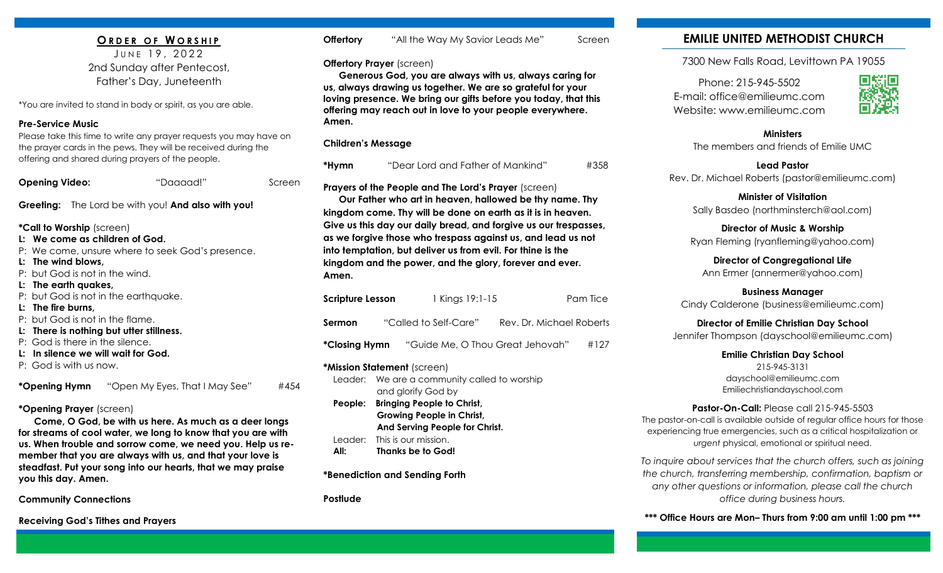### **O R D E R O F W O R S H I P**

JUNE 19, 2022 2nd Sunday after Pentecost, Father's Day, Juneteenth

\*You are invited to stand in body or spirit, as you are able.

#### **Pre-Service Music**

Please take this time to write any prayer requests you may have on the prayer cards in the pews. They will be received during the offering and shared during prayers of the people.

| <b>Opening Video:</b><br>"Daaaad!" | Screen |
|------------------------------------|--------|
|------------------------------------|--------|

**Greeting:** The Lord be with you! **And also with you!**

**\*Call to Worship** (screen)

- **L: We come as children of God.**
- P: We come, unsure where to seek God's presence.
- **L: The wind blows,**
- P: but God is not in the wind.
- **L: The earth quakes,**
- P: but God is not in the earthquake.
- **L: The fire burns,**
- P: but God is not in the flame.
- **L: There is nothing but utter stillness.**
- P: God is there in the silence.
- **L: In silence we will wait for God.**
- P: God is with us now.

**\*Opening Hymn** "Open My Eyes, That I May See" #454

### **\*Opening Prayer** (screen)

 **Come, O God, be with us here. As much as a deer longs for streams of cool water, we long to know that you are with us. When trouble and sorrow come, we need you. Help us remember that you are always with us, and that your love is steadfast. Put your song into our hearts, that we may praise you this day. Amen.**

**Community Connections**

**Receiving God's Tithes and Prayers** 

| Offertory | "All the Way My Savior Leads Me" | Screen |
|-----------|----------------------------------|--------|
|-----------|----------------------------------|--------|

**Offertory Prayer** (screen)

 **Generous God, you are always with us, always caring for us, always drawing us together. We are so grateful for your loving presence. We bring our gifts before you today, that this offering may reach out in love to your people everywhere. Amen.**

### **Children's Message**

**\*Hymn** "Dear Lord and Father of Mankind" #358 **Prayers of the People and The Lord's Prayer** (screen)  **Our Father who art in heaven, hallowed be thy name. Thy kingdom come. Thy will be done on earth as it is in heaven. Give us this day our daily bread, and forgive us our trespasses, as we forgive those who trespass against us, and lead us not into temptation, but deliver us from evil. For thine is the kingdom and the power, and the glory, forever and ever.** 

| <b>Scripture Lesson</b> | 1 Kings 19:1-15                  | Pam Tice                 |
|-------------------------|----------------------------------|--------------------------|
| <b>Sermon</b>           | "Called to Self-Care"            | Rev. Dr. Michael Roberts |
| *Closing Hymn           | "Guide Me, O Thou Great Jehovah" | #127                     |

**\*Mission Statement** (screen) Leader: We are a community called to worship and glorify God by **People: Bringing People to Christ, Growing People in Christ, And Serving People for Christ.** Leader: This is our mission. **All: Thanks be to God!**

**\*Benediction and Sending Forth**

**Postlude**

**Amen.** 

# **EMILIE UNITED METHODIST CHURCH**

7300 New Falls Road, Levittown PA 19055

Phone: 215-945-5502 E-mail: office@emilieumc.com Website: www.emilieumc.com



#### **Ministers** The members and friends of Emilie UMC

**Lead Pastor** Rev. Dr. Michael Roberts (pastor@emilieumc.com)

**Minister of Visitation** Sally Basdeo (northminsterch@aol.com)

**Director of Music & Worship** Ryan Fleming (ryanfleming@yahoo.com)

**Director of Congregational Life** Ann Ermer (annermer@yahoo.com)

**Business Manager** Cindy Calderone (business@emilieumc.com)

**Director of Emilie Christian Day School** Jennifer Thompson (dayschool@emilieumc.com)

> **Emilie Christian Day School** 215-945-3131 dayschool@emilieumc.com Emiliechristiandayschool.com

#### **Pastor-On-Call:** Please call 215-945-5503

The pastor-on-call is available outside of regular office hours for those experiencing true emergencies, such as a critical hospitalization or *urgent* physical, emotional or spiritual need.

*To inquire about services that the church offers, such as joining the church, transferring membership, confirmation, baptism or any other questions or information, please call the church office during business hours.*

**\*\*\* Office Hours are Mon– Thurs from 9:00 am until 1:00 pm \*\*\***